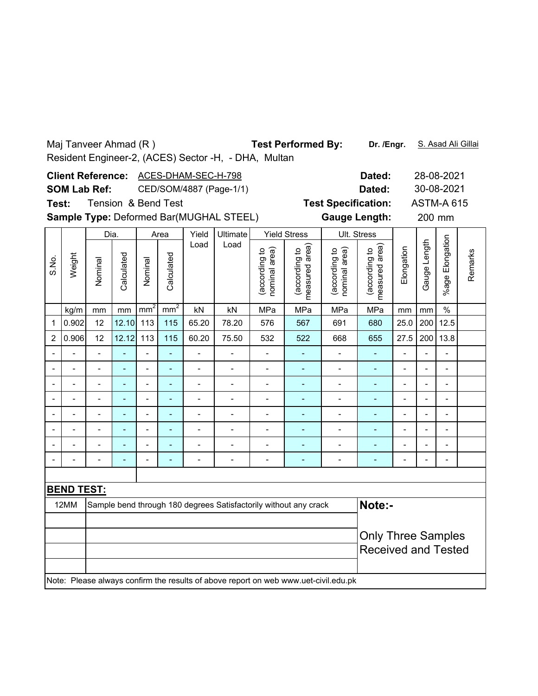|                                                                                                            | <b>Test Performed By:</b><br>Maj Tanveer Ahmad (R)<br>Dr. /Engr.<br>S. Asad Ali Gillai<br>Resident Engineer-2, (ACES) Sector -H, - DHA, Multan<br>ACES-DHAM-SEC-H-798<br><b>Client Reference:</b><br>28-08-2021 |                                                                                                                                                                                                              |                |                              |                          |                              |                                                                                     |                                |                                 |                                                    |                                    |                              |                          |                                 |         |  |
|------------------------------------------------------------------------------------------------------------|-----------------------------------------------------------------------------------------------------------------------------------------------------------------------------------------------------------------|--------------------------------------------------------------------------------------------------------------------------------------------------------------------------------------------------------------|----------------|------------------------------|--------------------------|------------------------------|-------------------------------------------------------------------------------------|--------------------------------|---------------------------------|----------------------------------------------------|------------------------------------|------------------------------|--------------------------|---------------------------------|---------|--|
| Test:                                                                                                      | <b>SOM Lab Ref:</b>                                                                                                                                                                                             |                                                                                                                                                                                                              |                |                              | Tension & Bend Test      |                              | CED/SOM/4887 (Page-1/1)<br>Sample Type: Deformed Bar(MUGHAL STEEL)                  |                                |                                 | <b>Test Specification:</b><br><b>Gauge Length:</b> | Dated:<br>Dated:                   |                              | 200 mm                   | 30-08-2021<br><b>ASTM-A 615</b> |         |  |
|                                                                                                            |                                                                                                                                                                                                                 | Dia.                                                                                                                                                                                                         |                |                              | Area                     | Yield                        | Ultimate                                                                            |                                | <b>Yield Stress</b>             |                                                    | Ult. Stress                        |                              |                          |                                 |         |  |
| S.No.                                                                                                      | Weight                                                                                                                                                                                                          | Nominal                                                                                                                                                                                                      | Calculated     | Nominal                      | Calculated               | Load                         | Load                                                                                | (according to<br>nominal area) | measured area)<br>(according to | (according to<br>area)<br>nominal                  | area)<br>(according to<br>measured | Elongation                   | Gauge Length             | Elongation<br>%age F            | Remarks |  |
|                                                                                                            | kg/m                                                                                                                                                                                                            | mm <sup>2</sup><br>mm <sup>2</sup><br>$\%$<br>kN<br>kN<br>MPa<br>MPa<br>MPa<br>MPa<br>mm<br>mm<br>mm<br>mm<br>12.5<br>12<br>12.10<br>113<br>115<br>65.20<br>78.20<br>200<br>576<br>567<br>691<br>680<br>25.0 |                |                              |                          |                              |                                                                                     |                                |                                 |                                                    |                                    |                              |                          |                                 |         |  |
| $\mathbf 1$                                                                                                | 0.902<br>200<br>13.8                                                                                                                                                                                            |                                                                                                                                                                                                              |                |                              |                          |                              |                                                                                     |                                |                                 |                                                    |                                    |                              |                          |                                 |         |  |
| 0.906<br>12.12<br>115<br>$\overline{2}$<br>12<br>113<br>60.20<br>75.50<br>532<br>522<br>27.5<br>668<br>655 |                                                                                                                                                                                                                 |                                                                                                                                                                                                              |                |                              |                          |                              |                                                                                     |                                |                                 |                                                    |                                    |                              |                          |                                 |         |  |
|                                                                                                            |                                                                                                                                                                                                                 |                                                                                                                                                                                                              |                |                              |                          | $\overline{a}$               | $\overline{\phantom{a}}$                                                            |                                | $\overline{a}$                  |                                                    | $\overline{a}$                     |                              |                          |                                 |         |  |
|                                                                                                            |                                                                                                                                                                                                                 | $\overline{a}$                                                                                                                                                                                               | $\blacksquare$ | $\overline{a}$               | ä,                       | $\blacksquare$               | $\overline{a}$                                                                      | $\blacksquare$                 | ä,                              | $\blacksquare$                                     | $\overline{\phantom{a}}$           | $\overline{a}$               | $\blacksquare$           | $\blacksquare$                  |         |  |
|                                                                                                            | $\overline{a}$                                                                                                                                                                                                  | $\overline{a}$                                                                                                                                                                                               | ÷,             | $\overline{\phantom{a}}$     | ÷,                       | $\blacksquare$               | L.                                                                                  | $\overline{a}$                 | ÷,                              | $\overline{\phantom{a}}$                           | $\blacksquare$                     | $\overline{a}$               | $\overline{\phantom{a}}$ | $\overline{\phantom{a}}$        |         |  |
|                                                                                                            |                                                                                                                                                                                                                 | $\overline{a}$                                                                                                                                                                                               | ÷,             | $\overline{a}$               | L,                       | $\blacksquare$               | $\overline{a}$                                                                      | $\overline{a}$                 | ÷,                              | $\overline{a}$                                     | L,                                 | $\overline{a}$               | $\overline{a}$           | $\overline{a}$                  |         |  |
|                                                                                                            |                                                                                                                                                                                                                 | $\overline{a}$                                                                                                                                                                                               | ٠              | $\qquad \qquad \blacksquare$ | $\overline{\phantom{a}}$ | $\qquad \qquad \blacksquare$ | $\overline{a}$                                                                      | $\qquad \qquad \blacksquare$   | ۰                               | $\qquad \qquad \blacksquare$                       | ÷                                  | $\qquad \qquad \blacksquare$ | $\blacksquare$           | $\overline{\phantom{0}}$        |         |  |
|                                                                                                            |                                                                                                                                                                                                                 | $\overline{a}$                                                                                                                                                                                               | ä,             | $\overline{a}$               | ÷,                       | $\overline{a}$               | $\overline{a}$                                                                      | $\overline{a}$                 | L,                              | $\overline{a}$                                     | L,                                 | $\overline{a}$               | L,                       | $\overline{a}$                  |         |  |
|                                                                                                            |                                                                                                                                                                                                                 | $\qquad \qquad \blacksquare$                                                                                                                                                                                 | ٠              | $\qquad \qquad \blacksquare$ | $\overline{\phantom{0}}$ | $\overline{\phantom{0}}$     | $\overline{a}$                                                                      | $\qquad \qquad \blacksquare$   | ÷                               | -                                                  | ۰                                  | $\overline{a}$               |                          | $\qquad \qquad \blacksquare$    |         |  |
|                                                                                                            |                                                                                                                                                                                                                 | $\blacksquare$                                                                                                                                                                                               |                |                              |                          | $\blacksquare$               |                                                                                     |                                |                                 |                                                    |                                    |                              |                          | $\blacksquare$                  |         |  |
|                                                                                                            |                                                                                                                                                                                                                 |                                                                                                                                                                                                              |                |                              |                          |                              |                                                                                     |                                |                                 |                                                    |                                    |                              |                          |                                 |         |  |
|                                                                                                            | <b>BEND TEST:</b>                                                                                                                                                                                               |                                                                                                                                                                                                              |                |                              |                          |                              |                                                                                     |                                |                                 |                                                    |                                    |                              |                          |                                 |         |  |
|                                                                                                            | 12MM                                                                                                                                                                                                            |                                                                                                                                                                                                              |                |                              |                          |                              | Sample bend through 180 degrees Satisfactorily without any crack                    |                                |                                 |                                                    | Note:-                             |                              |                          |                                 |         |  |
|                                                                                                            | <b>Only Three Samples</b><br><b>Received and Tested</b>                                                                                                                                                         |                                                                                                                                                                                                              |                |                              |                          |                              |                                                                                     |                                |                                 |                                                    |                                    |                              |                          |                                 |         |  |
|                                                                                                            |                                                                                                                                                                                                                 |                                                                                                                                                                                                              |                |                              |                          |                              | Note: Please always confirm the results of above report on web www.uet-civil.edu.pk |                                |                                 |                                                    |                                    |                              |                          |                                 |         |  |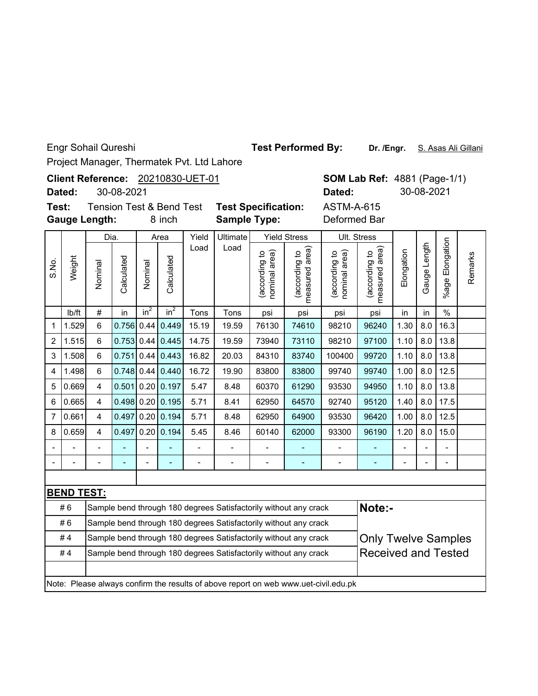Engr Sohail Qureshi

**Test Performed By:**

**Dr. /Engr.** S. Asas Ali Gillani

**SOM Lab Ref: 4881 (Page-1/1)** 

**Dated:** 30-08-2021

Project Manager, Thermatek Pvt. Ltd Lahore

20210830-UET-01 **Client Reference:**

**Dated:** 30-08-2021

**Gauge Length: Test:**

8 inch **Sample Type:** Deformed Bar

Tension Test & Bend Test **Test Specification:** ASTM-A-615

|                |                          | Dia.                                                                                           |              |                | Area                                                                                          | Yield                    | Ultimate                 |                                | <b>Yield Stress</b>                                                                 |                                   | Ult. Stress                        |                |                |                          |         |
|----------------|--------------------------|------------------------------------------------------------------------------------------------|--------------|----------------|-----------------------------------------------------------------------------------------------|--------------------------|--------------------------|--------------------------------|-------------------------------------------------------------------------------------|-----------------------------------|------------------------------------|----------------|----------------|--------------------------|---------|
| S.No.          | Weight                   | Nominal                                                                                        | Calculated   | Nominal        | Calculated                                                                                    | Load                     | Load                     | (according to<br>nominal area) | measured area)<br>(according to                                                     | area)<br>(according to<br>nominal | area)<br>(according to<br>measured | Elongation     | Gauge Length   | Elongation<br>%age l     | Remarks |
|                | lb/ft                    | $\#$                                                                                           | in           | $in^2$         | $in^2$                                                                                        | Tons                     | Tons                     | psi                            | psi                                                                                 | psi                               | psi                                | in             | in             | $\%$                     |         |
| 1              | 1.529                    | 6                                                                                              | 0.756        | 0.44           | 0.449                                                                                         | 15.19                    | 19.59                    | 76130                          | 74610                                                                               | 98210                             | 96240                              | 1.30           | 8.0            | 16.3                     |         |
| $\overline{c}$ | 1.515                    | $6\phantom{1}$                                                                                 | 0.753 0.44   |                | 0.445                                                                                         | 14.75                    | 19.59                    | 73940                          | 73110                                                                               | 98210                             | 97100                              | 1.10           | 8.0            | 13.8                     |         |
| 3              | 1.508                    | 6                                                                                              | 0.751        | 0.44           | 0.443                                                                                         | 16.82                    | 20.03                    | 84310                          | 83740                                                                               | 100400                            | 99720                              | 1.10           | 8.0            | 13.8                     |         |
| 4              | 1.498                    | 6                                                                                              | $0.748$ 0.44 |                | 0.440                                                                                         | 16.72                    | 19.90                    | 83800                          | 83800                                                                               | 99740                             | 99740                              | 1.00           | 8.0            | 12.5                     |         |
| 5              | 0.669                    | $\overline{4}$                                                                                 | 0.501        | 0.20           | 0.197                                                                                         | 5.47                     | 8.48                     | 60370                          | 61290                                                                               | 93530                             | 94950                              | 1.10           | 8.0            | 13.8                     |         |
| 6              | 0.665                    | 4                                                                                              |              |                | $0.498$ 0.20 0.195<br>1.40<br>8.0<br>17.5<br>5.71<br>8.41<br>62950<br>64570<br>92740<br>95120 |                          |                          |                                |                                                                                     |                                   |                                    |                |                |                          |         |
| $\overline{7}$ | 0.661                    | 4                                                                                              | 0.497        | 0.20           | 0.194<br>8.0<br>5.71<br>8.48<br>62950<br>64900<br>93530<br>96420<br>1.00<br>12.5              |                          |                          |                                |                                                                                     |                                   |                                    |                |                |                          |         |
| 8              | 0.659                    | 4                                                                                              | 0.497        | 0.20           | 0.194                                                                                         | 5.45                     | 8.46                     | 60140                          | 62000                                                                               | 93300                             | 96190                              | 1.20           | 8.0            | 15.0                     |         |
|                |                          |                                                                                                |              | $\overline{a}$ |                                                                                               | $\overline{\phantom{m}}$ |                          | $\overline{\phantom{m}}$       | $\overline{\phantom{a}}$                                                            | $\overline{a}$                    |                                    | $\blacksquare$ | $\overline{a}$ | $\blacksquare$           |         |
|                | $\overline{\phantom{a}}$ | $\blacksquare$                                                                                 |              | $\overline{a}$ | L,                                                                                            | -                        | $\overline{\phantom{0}}$ | $\overline{\phantom{m}}$       | $\qquad \qquad \blacksquare$                                                        | $\frac{1}{2}$                     | Ξ.                                 | -              | L,             | $\overline{\phantom{a}}$ |         |
|                |                          |                                                                                                |              |                |                                                                                               |                          |                          |                                |                                                                                     |                                   |                                    |                |                |                          |         |
|                | <b>BEND TEST:</b>        |                                                                                                |              |                |                                                                                               |                          |                          |                                |                                                                                     |                                   |                                    |                |                |                          |         |
|                | #6                       |                                                                                                |              |                |                                                                                               |                          |                          |                                | Sample bend through 180 degrees Satisfactorily without any crack                    |                                   | Note:-                             |                |                |                          |         |
|                | #6                       |                                                                                                |              |                |                                                                                               |                          |                          |                                | Sample bend through 180 degrees Satisfactorily without any crack                    |                                   |                                    |                |                |                          |         |
|                | #4                       |                                                                                                |              |                |                                                                                               |                          |                          |                                | Sample bend through 180 degrees Satisfactorily without any crack                    |                                   | <b>Only Twelve Samples</b>         |                |                |                          |         |
|                | #4                       | <b>Received and Tested</b><br>Sample bend through 180 degrees Satisfactorily without any crack |              |                |                                                                                               |                          |                          |                                |                                                                                     |                                   |                                    |                |                |                          |         |
|                |                          |                                                                                                |              |                |                                                                                               |                          |                          |                                |                                                                                     |                                   |                                    |                |                |                          |         |
|                |                          |                                                                                                |              |                |                                                                                               |                          |                          |                                | Note: Please always confirm the results of above report on web www.uet-civil.edu.pk |                                   |                                    |                |                |                          |         |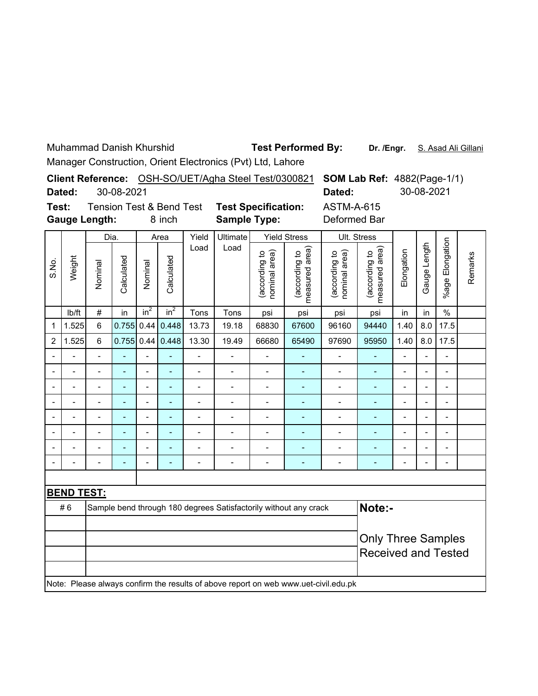Muhammad Danish Khurshid

**Test Performed By:**

**Dr. /Engr.** S. Asad Ali Gillani

Manager Construction, Orient Electronics (Pvt) Ltd, Lahore

|       | Dated:             |                      | 30-08-2021 |         |                                               |       | Client Reference: OSH-SO/UET/Agha Steel Test/0300821 |                                     |                                                 | <b>SOM Lab Ref: 4882(Page-1/1)</b><br>Dated: |                                      |            | 30-08-2021      |                       |         |
|-------|--------------------|----------------------|------------|---------|-----------------------------------------------|-------|------------------------------------------------------|-------------------------------------|-------------------------------------------------|----------------------------------------------|--------------------------------------|------------|-----------------|-----------------------|---------|
| Test: |                    | <b>Gauge Length:</b> |            |         | <b>Tension Test &amp; Bend Test</b><br>8 inch |       | <b>Test Specification:</b><br><b>Sample Type:</b>    |                                     |                                                 | <b>ASTM-A-615</b><br>Deformed Bar            |                                      |            |                 |                       |         |
|       |                    | Dia.                 |            |         | Area                                          | Yield | Ultimate                                             |                                     | <b>Yield Stress</b>                             |                                              | Ult. Stress                          |            |                 |                       |         |
| S.No. | Weight             | Nominal              | Calculated | Nominal | Calculated                                    | Load  | Load                                                 | area)<br>ೆ<br>(according<br>nominal | area)<br>$\mathtt{S}$<br>(according<br>measured | ea)<br>유<br>(according<br>ౚ<br>nominal       | area)<br>đ<br>(according<br>measured | Elongation | Length<br>Gauge | Elongation<br>$%$ age | Remarks |
|       | I <sub>b</sub> /ft | #                    | in         | $in^2$  | $in^2$                                        | Tons  | Tons                                                 | psi                                 | psi                                             | psi                                          | psi                                  | in         | in              | %                     |         |
|       | 1.525              | 6                    | 0.755      |         | $0.44$ 0.448                                  | 13.73 | 19.18                                                | 68830                               | 67600                                           | 96160                                        | 94440                                | 1.40       | 8.0             | 17.5                  |         |

2 1.525 6 0.755 0.44 0.448 13.30 19.49 66680 65490 97690 95950 1.40 8.0 17.5 -- - - - - - - - - - - - -- -- - - - - - - - - - - - -- -- - - - - - - - - - - - -- -- - - - - - - - - - - - --

| <b>BEND TEST:</b>                                                                |  |  |  |  |  |  |  |  |  |  |  |  |  |  |
|----------------------------------------------------------------------------------|--|--|--|--|--|--|--|--|--|--|--|--|--|--|
| Note:-<br>#6<br>Sample bend through 180 degrees Satisfactorily without any crack |  |  |  |  |  |  |  |  |  |  |  |  |  |  |
|                                                                                  |  |  |  |  |  |  |  |  |  |  |  |  |  |  |
|                                                                                  |  |  |  |  |  |  |  |  |  |  |  |  |  |  |
| <b>Only Three Samples</b><br><b>Received and Tested</b>                          |  |  |  |  |  |  |  |  |  |  |  |  |  |  |
|                                                                                  |  |  |  |  |  |  |  |  |  |  |  |  |  |  |
|                                                                                  |  |  |  |  |  |  |  |  |  |  |  |  |  |  |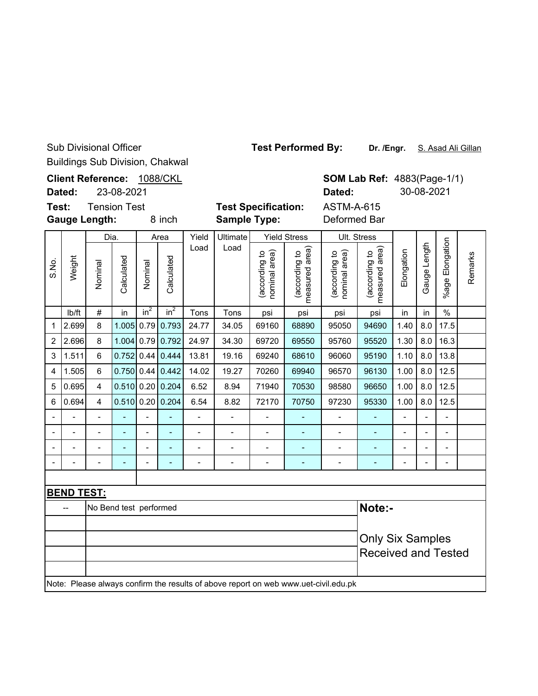Sub Divisional Officer Buildings Sub Division, Chakwal **Test Performed By:**

Dr. /Engr. S. Asad Ali Gillan

**Client Reference:** 1088/CKL **SOM Lab Ref: 4883(Page-1/1) Dated:** 30-08-2021 **Dated:** 23-08-2021 **Test:** Tension Test **Test Specification:** ASTM-A-615 **Gauge Length:** 8 inch **Sample Type:** Deformed Bar Dia. AreaYield Ultimate Yield Stress Ult. Stress %age Elongation %age Elongation Gauge Length Load Load (according to<br>measured area) (according to<br>measured area) Gauge Length (according to<br>nominal area) measured area) (according to<br>nominal area) measured area) (according to (according to (according to (according to Elongation nominal area) nominal area) Remarks Remarks Weight Calculated Calculated S.No. Calculated Calculated Nominal Nominal lb/ft  $\mid$  #  $\mid$  in  $\mid$  in $^{2}$   $\mid$  in $^{2}$   $\mid$  Tons  $\mid$  Tons  $\mid$  psi  $\mid$  psi  $\mid$  psi  $\mid$  in  $\mid$  in  $\mid$  % 1 |2.699| 8 |1.005| 0.79| 0.793| 24.77 | 34.05 | 69160 | 68890 | 95050 | 94690 | 1.40 | 8.0 | 17.5 2 |2.696| 8 |1.004|0.79|0.792| 24.97 | 34.30 | 69720 | 69550 | 95760 | 95520 |1.30 |8.0 |16.3 3 1.511 6 0.752 0.44 0.444 13.81 19.16 69240 68610 96060 95190 1.10 8.0 13.8 4 |1.505| 6 |0.750| 0.44| 0.442| 14.02 | 19.27 | 70260 | 69940 | 96570 | 96130 | 1.00 | 8.0 | 12.5 5 |0.695| 4 |0.510| 0.20| 0.204| 6.52 | 8.94 | 71940 | 70530 | 98580 | 96650 |1.00 | 8.0 |12.5 6 |0.694| 4 |0.510| 0.20| 0.204| 6.54 | 8.82 | 72170 | 70750 | 97230 | 95330 | 1.00 | 8.0 | 12.5 -- - - - - - - - - - - - -- -- - - - - - - - - - - - -- -- - - - - - - - - - - - -- -- - - - - - - - - - - - -- **BEND TEST:** -- No Bend test performed **Note:-** Only Six Samples Received and Tested Note: Please always confirm the results of above report on web www.uet-civil.edu.pk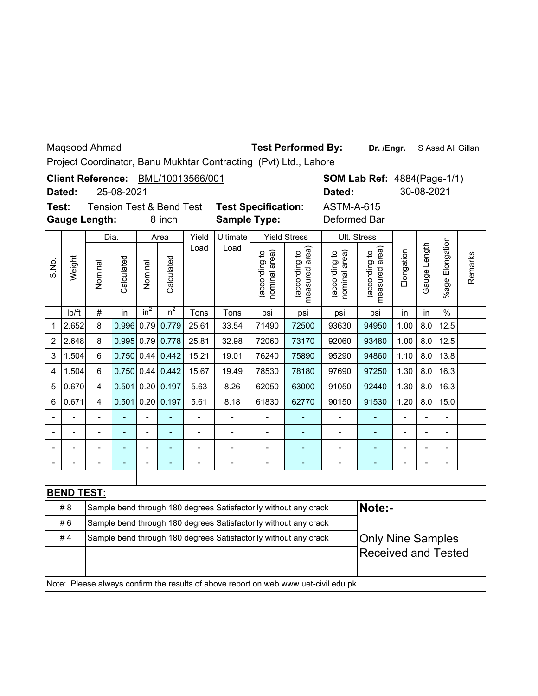Maqsood Ahmad **Dr. And Test Performed By:** Dr. /Engr. S Asad Ali Gillani

Project Coordinator, Banu Mukhtar Contracting (Pvt) Ltd., Lahore

|       | Project Coordinator, Band Mukhtar Contracting (PVt) Ltd., Lanore<br>Client Reference: BML/10013566/001<br><b>SOM Lab Ref: 4884 (Page-1/1)</b>                                                                                      |                          |                                                                                                 |                |                                               |                |                                                                  |                                |                                 |                                                                                     |                                 |                |                |                      |         |  |
|-------|------------------------------------------------------------------------------------------------------------------------------------------------------------------------------------------------------------------------------------|--------------------------|-------------------------------------------------------------------------------------------------|----------------|-----------------------------------------------|----------------|------------------------------------------------------------------|--------------------------------|---------------------------------|-------------------------------------------------------------------------------------|---------------------------------|----------------|----------------|----------------------|---------|--|
|       | Dated:                                                                                                                                                                                                                             |                          | 25-08-2021                                                                                      |                |                                               |                |                                                                  |                                |                                 | Dated:                                                                              |                                 |                | 30-08-2021     |                      |         |  |
| Test: |                                                                                                                                                                                                                                    | <b>Gauge Length:</b>     |                                                                                                 |                | <b>Tension Test &amp; Bend Test</b><br>8 inch |                | <b>Test Specification:</b><br><b>Sample Type:</b>                |                                |                                 | <b>ASTM-A-615</b><br>Deformed Bar                                                   |                                 |                |                |                      |         |  |
|       | Ultimate<br>Yield<br><b>Yield Stress</b><br>Ult. Stress<br>Dia.<br>Area                                                                                                                                                            |                          |                                                                                                 |                |                                               |                |                                                                  |                                |                                 |                                                                                     |                                 |                |                |                      |         |  |
| S.No. | Weight                                                                                                                                                                                                                             | Nominal                  | Calculated                                                                                      | Nominal        | Calculated                                    | Load           | Load                                                             | nominal area)<br>(according to | measured area)<br>(according to | nominal area)<br>(according to                                                      | measured area)<br>(according to | Elongation     | Gauge Length   | Elongation<br>%age l | Remarks |  |
|       | Ib/ft                                                                                                                                                                                                                              | $\#$                     | in                                                                                              | $in^2$         | in <sup>2</sup>                               | Tons           | Tons                                                             | psi                            | psi                             | psi                                                                                 | psi                             | in             | in             | $\frac{0}{0}$        |         |  |
| 1     | 8<br>0.996 0.79<br>12.5<br>2.652<br>0.779<br>33.54<br>72500<br>1.00<br>8.0<br>25.61<br>71490<br>93630<br>94950<br>0.778<br>2.648<br>$0.995$ 0.79<br>25.81<br>32.98<br>72060<br>73170<br>92060<br>93480<br>1.00<br>12.5<br>8<br>8.0 |                          |                                                                                                 |                |                                               |                |                                                                  |                                |                                 |                                                                                     |                                 |                |                |                      |         |  |
| 2     |                                                                                                                                                                                                                                    |                          |                                                                                                 |                |                                               |                |                                                                  |                                |                                 |                                                                                     |                                 |                |                |                      |         |  |
| 3     | 1.504                                                                                                                                                                                                                              | 6                        | $0.750$ 0.44 0.442<br>15.21<br>19.01<br>76240<br>1.10<br>8.0<br>13.8<br>75890<br>95290<br>94860 |                |                                               |                |                                                                  |                                |                                 |                                                                                     |                                 |                |                |                      |         |  |
| 4     | 1.504                                                                                                                                                                                                                              | 6                        | $0.750$ 0.44 0.442<br>16.3<br>15.67<br>19.49<br>78530<br>78180<br>97690<br>97250<br>1.30<br>8.0 |                |                                               |                |                                                                  |                                |                                 |                                                                                     |                                 |                |                |                      |         |  |
| 5     | 0.670                                                                                                                                                                                                                              | 4                        |                                                                                                 |                | $0.501$ 0.20 0.197                            | 5.63           | 8.26                                                             | 62050                          | 63000                           | 91050                                                                               | 92440                           | 1.30           | 8.0            | 16.3                 |         |  |
| 6     | 0.671                                                                                                                                                                                                                              | 4                        | 0.501                                                                                           |                | $0.20$ 0.197                                  | 5.61           | 8.18                                                             | 61830                          | 62770                           | 90150                                                                               | 91530                           | 1.20           | 8.0            | 15.0                 |         |  |
|       |                                                                                                                                                                                                                                    | $\overline{a}$           | L,                                                                                              | $\overline{a}$ | ä,                                            | $\overline{a}$ | $\overline{a}$                                                   | $\overline{a}$                 | $\blacksquare$                  | $\frac{1}{2}$                                                                       | ÷,                              | $\overline{a}$ | $\overline{a}$ | $\overline{a}$       |         |  |
|       |                                                                                                                                                                                                                                    |                          |                                                                                                 |                |                                               |                | -                                                                | $\overline{a}$                 |                                 |                                                                                     | ٠                               |                |                |                      |         |  |
|       |                                                                                                                                                                                                                                    | $\overline{\phantom{0}}$ |                                                                                                 | $\overline{a}$ | L,                                            | $\overline{a}$ | $\overline{a}$                                                   | $\overline{a}$                 | $\overline{a}$                  | $\overline{a}$                                                                      | $\overline{a}$                  | $\blacksquare$ | $\blacksquare$ | $\blacksquare$       |         |  |
|       |                                                                                                                                                                                                                                    | $\blacksquare$           | $\overline{a}$                                                                                  | $\overline{a}$ | ÷                                             | $\blacksquare$ | $\overline{a}$                                                   | $\blacksquare$                 | $\overline{a}$                  | $\overline{a}$                                                                      | ٠                               | $\overline{a}$ | $\blacksquare$ | $\overline{a}$       |         |  |
|       |                                                                                                                                                                                                                                    |                          |                                                                                                 |                |                                               |                |                                                                  |                                |                                 |                                                                                     |                                 |                |                |                      |         |  |
|       | <b>BEND TEST:</b>                                                                                                                                                                                                                  |                          |                                                                                                 |                |                                               |                |                                                                  |                                |                                 |                                                                                     |                                 |                |                |                      |         |  |
|       | #8                                                                                                                                                                                                                                 |                          |                                                                                                 |                |                                               |                | Sample bend through 180 degrees Satisfactorily without any crack |                                |                                 |                                                                                     | Note:-                          |                |                |                      |         |  |
|       | #6                                                                                                                                                                                                                                 |                          |                                                                                                 |                |                                               |                | Sample bend through 180 degrees Satisfactorily without any crack |                                |                                 |                                                                                     |                                 |                |                |                      |         |  |
|       | #4                                                                                                                                                                                                                                 |                          |                                                                                                 |                |                                               |                |                                                                  |                                |                                 |                                                                                     |                                 |                |                |                      |         |  |
|       | <b>Only Nine Samples</b><br>Sample bend through 180 degrees Satisfactorily without any crack<br><b>Received and Tested</b>                                                                                                         |                          |                                                                                                 |                |                                               |                |                                                                  |                                |                                 |                                                                                     |                                 |                |                |                      |         |  |
|       |                                                                                                                                                                                                                                    |                          |                                                                                                 |                |                                               |                |                                                                  |                                |                                 | Note: Please always confirm the results of above report on web www.uet-civil.edu.pk |                                 |                |                |                      |         |  |
|       |                                                                                                                                                                                                                                    |                          |                                                                                                 |                |                                               |                |                                                                  |                                |                                 |                                                                                     |                                 |                |                |                      |         |  |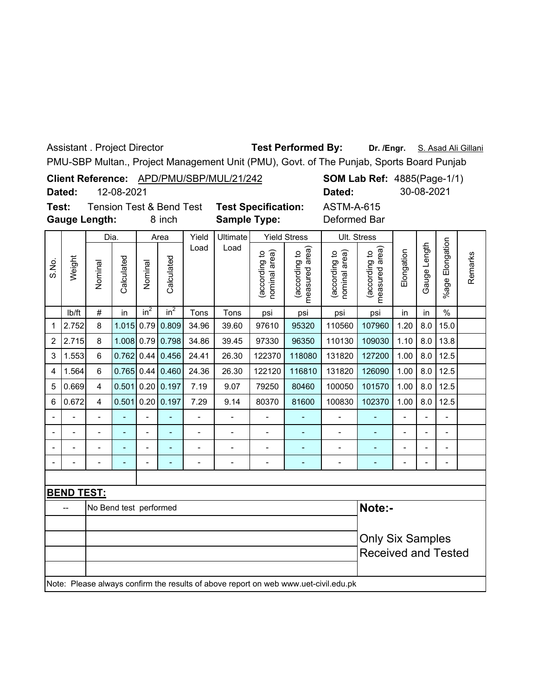Assistant . Project Director

PMU-SBP Multan., Project Management Unit (PMU), Govt. of The Punjab, Sports Board Punjab

|                         |                          |                                                                                                                             |                        |                |                                     |                          | Client Reference: APD/PMU/SBP/MUL/21/242                                            |                                |                                 |                                | <b>SOM Lab Ref: 4885(Page-1/1)</b><br>30-08-2021 |                |                |                          |         |
|-------------------------|--------------------------|-----------------------------------------------------------------------------------------------------------------------------|------------------------|----------------|-------------------------------------|--------------------------|-------------------------------------------------------------------------------------|--------------------------------|---------------------------------|--------------------------------|--------------------------------------------------|----------------|----------------|--------------------------|---------|
|                         | Dated:                   |                                                                                                                             | 12-08-2021             |                |                                     |                          |                                                                                     |                                |                                 | Dated:                         |                                                  |                |                |                          |         |
| Test:                   |                          |                                                                                                                             |                        |                | <b>Tension Test &amp; Bend Test</b> |                          |                                                                                     | <b>Test Specification:</b>     |                                 | <b>ASTM-A-615</b>              |                                                  |                |                |                          |         |
|                         | <b>Gauge Length:</b>     |                                                                                                                             |                        |                | 8 inch                              |                          | <b>Sample Type:</b>                                                                 |                                |                                 | Deformed Bar                   |                                                  |                |                |                          |         |
|                         |                          |                                                                                                                             | Dia.                   |                | Area                                | Yield                    | Ultimate                                                                            |                                | <b>Yield Stress</b>             |                                | Ult. Stress                                      |                |                |                          |         |
| S.No.                   | Weight                   | Nominal                                                                                                                     | Calculated             | Nominal        | Calculated                          | Load                     | Load                                                                                | (according to<br>nominal area) | (according to<br>measured area) | (according to<br>nominal area) | (according to<br>measured area)                  | Elongation     | Gauge Length   | %age Elongation          | Remarks |
|                         | Ib/ft                    | $\#$                                                                                                                        | in                     | $in^2$         | in <sup>2</sup>                     | Tons                     | Tons                                                                                | psi                            | psi                             | psi                            | psi                                              | in             | in             | $\%$                     |         |
| 1                       | 2.752                    | 8                                                                                                                           | 1.015                  |                | $0.79$ 0.809                        | 34.96                    | 39.60                                                                               | 97610                          | 95320                           | 110560                         | 107960                                           | 1.20           | 8.0            | 15.0                     |         |
| $\overline{2}$          | 2.715                    | 8                                                                                                                           |                        |                | 1.008 0.79 0.798                    | 34.86                    | 39.45                                                                               | 97330                          | 96350                           | 110130                         | 109030                                           | 1.10           | 8.0            | 13.8                     |         |
| 3                       | 1.553                    | 0.762<br>$0.44$ 0.456<br>24.41<br>8.0<br>12.5<br>$\,6\,$<br>26.30<br>122370<br>118080<br>131820<br>127200<br>1.00<br>122120 |                        |                |                                     |                          |                                                                                     |                                |                                 |                                |                                                  |                |                |                          |         |
| $\overline{\mathbf{4}}$ | 1.564                    | 6                                                                                                                           |                        |                | $0.765$ 0.44 0.460                  | 24.36                    | 26.30                                                                               | 116810                         | 131820                          | 126090                         | 1.00                                             | 8.0            | 12.5           |                          |         |
| 5                       | 0.669                    | $\overline{4}$                                                                                                              | 0.501                  |                | 0.20   0.197                        | 7.19                     | 9.07                                                                                | 79250                          | 80460                           | 100050                         | 101570                                           | 1.00           | 8.0            | 12.5                     |         |
| 6                       | 0.672                    | $\overline{4}$                                                                                                              |                        |                | $0.501$ 0.20 0.197                  | 7.29                     | 9.14                                                                                | 80370                          | 81600                           | 100830                         | 102370                                           | 1.00           | 8.0            | 12.5                     |         |
|                         | $\overline{a}$           | $\overline{\phantom{0}}$                                                                                                    | L,                     | $\overline{a}$ | L,                                  | $\blacksquare$           | $\overline{a}$                                                                      | $\overline{a}$                 |                                 | $\blacksquare$                 | ÷,                                               | $\blacksquare$ | $\overline{a}$ | $\overline{\phantom{0}}$ |         |
| $\frac{1}{2}$           | $\blacksquare$           | $\overline{a}$                                                                                                              |                        | $\blacksquare$ |                                     | $\overline{a}$           | $\overline{a}$                                                                      | $\overline{a}$                 | L,                              | $\overline{a}$                 | ÷,                                               | $\blacksquare$ | $\overline{a}$ | $\overline{a}$           |         |
|                         | $\overline{\phantom{m}}$ |                                                                                                                             |                        |                |                                     |                          | $\overline{\phantom{0}}$                                                            |                                |                                 | $\overline{\phantom{a}}$       | ٠                                                |                |                |                          |         |
|                         | $\overline{a}$           | $\overline{a}$                                                                                                              |                        |                |                                     | $\overline{\phantom{0}}$ | $\overline{\phantom{0}}$                                                            | $\overline{a}$                 | ÷,                              | $\overline{a}$                 | ÷,                                               |                |                | $\overline{\phantom{0}}$ |         |
|                         |                          |                                                                                                                             |                        |                |                                     |                          |                                                                                     |                                |                                 |                                |                                                  |                |                |                          |         |
|                         | <b>BEND TEST:</b>        |                                                                                                                             |                        |                |                                     |                          |                                                                                     |                                |                                 |                                |                                                  |                |                |                          |         |
|                         |                          |                                                                                                                             | No Bend test performed |                |                                     |                          |                                                                                     |                                |                                 |                                | Note:-                                           |                |                |                          |         |
|                         |                          |                                                                                                                             |                        |                |                                     |                          |                                                                                     |                                |                                 |                                |                                                  |                |                |                          |         |
|                         |                          | <b>Only Six Samples</b>                                                                                                     |                        |                |                                     |                          |                                                                                     |                                |                                 |                                |                                                  |                |                |                          |         |
|                         |                          | <b>Received and Tested</b>                                                                                                  |                        |                |                                     |                          |                                                                                     |                                |                                 |                                |                                                  |                |                |                          |         |
|                         |                          |                                                                                                                             |                        |                |                                     |                          | Note: Please always confirm the results of above report on web www.uet-civil.edu.pk |                                |                                 |                                |                                                  |                |                |                          |         |

Test Performed By: Dr. /Engr. S. Asad Ali Gillani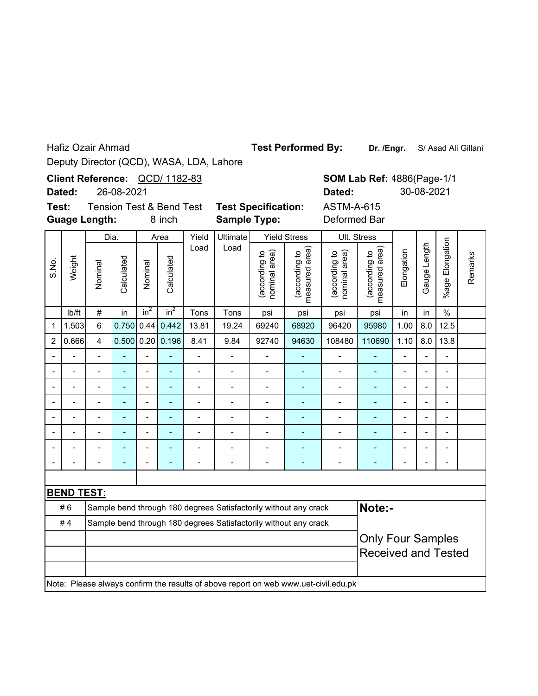Hafiz Ozair Ahmad

**Test Performed By:**

**Dr. /Engr.** S/ Asad Ali Gillani

**SOM Lab Ref:** 4886(Page-1/1 **Dated:** 30-08-2021

Deputy Director (QCD), WASA, LDA, Lahore

QCD/ 1182-83 **Client Reference:**

**Dated:** 26-08-2021

8 inch **Guage Length: Test:** Tension Test & Bend Test **Test Specification:** ASTM-A-615

**Sample Type:** Deformed Bar

|                          |                   | Dia.                       |                          |                | Area                     | Yield                    |                          | Ult. Stress                    |                                                                                     |                                |                                |                          |                          |                          |         |
|--------------------------|-------------------|----------------------------|--------------------------|----------------|--------------------------|--------------------------|--------------------------|--------------------------------|-------------------------------------------------------------------------------------|--------------------------------|--------------------------------|--------------------------|--------------------------|--------------------------|---------|
| S.No.                    | Weight            | Nominal                    | Calculated               | Nominal        | Calculated               | Load                     | Load                     | (according to<br>nominal area) | measured area)<br>(according to                                                     | (according to<br>nominal area) | measured area<br>(according to | Elongation               | Gauge Length             | %age Elongation          | Remarks |
|                          | Ib/ft             | $\#$                       | in                       | $in^2$         | $in^2$                   | Tons                     | Tons                     | psi                            | psi                                                                                 | psi                            | psi                            | in                       | in                       | $\frac{0}{0}$            |         |
| 1                        | 1.503             | $6\phantom{1}$             | 0.750                    | 0.44           | 0.442                    | 13.81                    | 19.24                    | 69240                          | 68920                                                                               | 96420                          | 95980                          | 1.00                     | 8.0                      | 12.5                     |         |
| 2                        | 0.666             | $\overline{\mathbf{4}}$    | $0.500$ $0.20$           |                | 0.196                    | 8.41                     | 9.84                     | 92740                          | 94630                                                                               | 108480                         | 110690                         | 1.10                     | 8.0                      | 13.8                     |         |
|                          |                   | $\overline{a}$             |                          | $\overline{a}$ | ÷,                       | $\overline{\phantom{0}}$ | $\overline{\phantom{0}}$ | ÷                              |                                                                                     | $\overline{a}$                 | ÷,                             | $\overline{\phantom{0}}$ | $\overline{a}$           | $\frac{1}{2}$            |         |
|                          | $\overline{a}$    | $\overline{a}$             | $\overline{\phantom{a}}$ | $\overline{a}$ | $\blacksquare$           | $\overline{\phantom{0}}$ | $\overline{a}$           | $\overline{\phantom{a}}$       | $\blacksquare$                                                                      | $\overline{a}$                 | $\blacksquare$                 | -                        | $\overline{\phantom{a}}$ | $\blacksquare$           |         |
|                          |                   | $\blacksquare$             |                          | $\overline{a}$ | $\overline{\phantom{a}}$ | $\blacksquare$           |                          | Ĭ.                             | Ē,                                                                                  |                                | ÷                              | $\blacksquare$           | $\overline{\phantom{a}}$ | $\overline{\phantom{0}}$ |         |
|                          |                   |                            |                          |                | ٠                        | $\blacksquare$           |                          | ۰                              | $\overline{a}$                                                                      |                                | ÷,                             | $\overline{a}$           | $\overline{a}$           | $\overline{a}$           |         |
|                          |                   |                            |                          | L,             | ÷                        |                          |                          |                                |                                                                                     |                                |                                |                          | $\overline{a}$           | $\blacksquare$           |         |
|                          |                   |                            |                          | $\overline{a}$ | ۳                        |                          |                          |                                |                                                                                     |                                | ÷,                             |                          | $\overline{a}$           | $\blacksquare$           |         |
| $\overline{\phantom{a}}$ |                   | $\blacksquare$             |                          | $\overline{a}$ | $\overline{a}$           |                          |                          |                                |                                                                                     |                                |                                | -                        | $\blacksquare$           | $\blacksquare$           |         |
|                          |                   |                            |                          |                |                          | $\overline{a}$           |                          | Ĭ.                             | $\overline{\phantom{a}}$                                                            |                                | L,                             | $\blacksquare$           | $\blacksquare$           | $\blacksquare$           |         |
|                          |                   |                            |                          |                |                          |                          |                          |                                |                                                                                     |                                |                                |                          |                          |                          |         |
|                          | <b>BEND TEST:</b> |                            |                          |                |                          |                          |                          |                                |                                                                                     |                                |                                |                          |                          |                          |         |
|                          | #6                |                            |                          |                |                          |                          |                          |                                | Sample bend through 180 degrees Satisfactorily without any crack                    |                                | Note:-                         |                          |                          |                          |         |
|                          | #4                |                            |                          |                |                          |                          |                          |                                | Sample bend through 180 degrees Satisfactorily without any crack                    |                                |                                |                          |                          |                          |         |
|                          |                   |                            |                          |                |                          |                          |                          |                                |                                                                                     |                                | <b>Only Four Samples</b>       |                          |                          |                          |         |
|                          |                   | <b>Received and Tested</b> |                          |                |                          |                          |                          |                                |                                                                                     |                                |                                |                          |                          |                          |         |
|                          |                   |                            |                          |                |                          |                          |                          |                                |                                                                                     |                                |                                |                          |                          |                          |         |
|                          |                   |                            |                          |                |                          |                          |                          |                                | Note: Please always confirm the results of above report on web www.uet-civil.edu.pk |                                |                                |                          |                          |                          |         |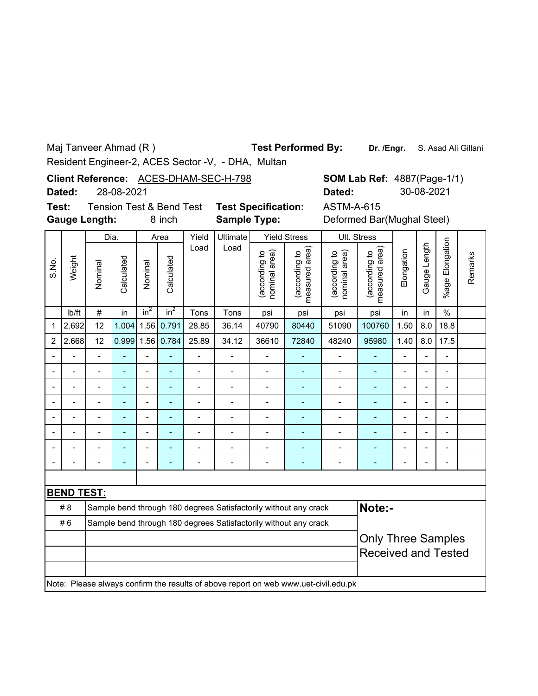Maj Tanveer Ahmad (R )

**Test Performed By:**

**Dr. /Engr.** S. Asad Ali Gillani

Resident Engineer-2, ACES Sector -V, - DHA, Multan

**Client Reference: ACES-DHAM-SEC-H-798** 

**Dated:** 28-08-2021

**Gauge Length: Test:**

**Sample Type:** Tension Test & Bend Test **Test Specification:** ASTM-A-615

8 inch **Sample Type:** Deformed Bar(Mughal Steel)  $\overline{\phantom{a}}$  $\top$  $\overline{\phantom{0}}$ 

|                |                   | Dia.                      |            |                          | Area                     | Yield                    | Ultimate       |                                | <b>Yield Stress</b>                                                                 |                                | Ult. Stress                     |                |                |                          |         |
|----------------|-------------------|---------------------------|------------|--------------------------|--------------------------|--------------------------|----------------|--------------------------------|-------------------------------------------------------------------------------------|--------------------------------|---------------------------------|----------------|----------------|--------------------------|---------|
| S.No.          | Weight            | Nominal                   | Calculated | Nominal                  | Calculated               | Load                     | Load           | (according to<br>nominal area) | measured area)<br>(according to                                                     | (according to<br>nominal area) | measured area)<br>(according to | Elongation     | Gauge Length   | %age Elongation          | Remarks |
|                | lb/ft             | $\#$                      | in         | $in^2$                   | $in^2$                   | Tons                     | Tons           | psi                            | psi                                                                                 | psi                            | psi                             | in             | in             | $\frac{0}{0}$            |         |
| 1              | 2.692             | 12                        | 1.004      | 1.56                     | 0.791                    | 28.85                    | 36.14          | 40790                          | 80440                                                                               | 51090                          | 100760                          | 1.50           | 8.0            | 18.8                     |         |
| $\overline{c}$ | 2.668             | 12                        | 0.999      |                          | 1.56 0.784               | 25.89                    | 34.12          | 36610                          | 72840                                                                               | 48240                          | 95980                           | 1.40           | 8.0            | 17.5                     |         |
|                |                   | $\blacksquare$            | L,         | $\overline{\phantom{0}}$ | $\overline{\phantom{a}}$ | $\blacksquare$           | $\blacksquare$ | Ĭ.                             | Ē,                                                                                  | $\overline{a}$                 | ٠                               | $\blacksquare$ | $\blacksquare$ | $\overline{\phantom{0}}$ |         |
|                | $\blacksquare$    | $\overline{a}$            | ÷          | $\overline{a}$           | ä,                       | $\overline{\phantom{a}}$ | $\overline{a}$ | Ĭ.                             | Ē,                                                                                  | $\overline{a}$                 | L,                              | -              | $\blacksquare$ | $\overline{\phantom{0}}$ |         |
|                | $\overline{a}$    | $\overline{a}$            | ÷          | $\overline{a}$           | $\overline{\phantom{a}}$ | $\overline{\phantom{a}}$ | $\blacksquare$ | Ĭ.                             | $\blacksquare$                                                                      | $\overline{a}$                 | ٠                               | -              | $\blacksquare$ | $\overline{\phantom{0}}$ |         |
|                |                   | $\blacksquare$            | ÷          | $\overline{a}$           | ä,                       | $\blacksquare$           |                | Ĭ.                             | $\blacksquare$                                                                      | $\overline{a}$                 | Ξ.                              | $\blacksquare$ | $\blacksquare$ | $\overline{\phantom{0}}$ |         |
|                |                   | $\overline{a}$            |            | $\overline{a}$           | ÷                        | $\overline{a}$           |                | Ĭ.                             | Ē,                                                                                  | $\overline{a}$                 | L,                              | $\blacksquare$ | L.             | -                        |         |
|                |                   |                           |            | $\overline{a}$           | ÷                        | $\overline{a}$           |                |                                |                                                                                     |                                |                                 |                | $\blacksquare$ | $\overline{a}$           |         |
|                |                   |                           |            | $\overline{a}$           | ۳                        |                          |                |                                |                                                                                     |                                | ۳                               |                |                |                          |         |
|                |                   |                           |            | $\blacksquare$           |                          |                          |                |                                |                                                                                     |                                |                                 |                |                |                          |         |
|                |                   |                           |            |                          |                          |                          |                |                                |                                                                                     |                                |                                 |                |                |                          |         |
|                | <b>BEND TEST:</b> |                           |            |                          |                          |                          |                |                                |                                                                                     |                                |                                 |                |                |                          |         |
|                | #8                |                           |            |                          |                          |                          |                |                                | Sample bend through 180 degrees Satisfactorily without any crack                    |                                | Note:-                          |                |                |                          |         |
|                | #6                |                           |            |                          |                          |                          |                |                                | Sample bend through 180 degrees Satisfactorily without any crack                    |                                |                                 |                |                |                          |         |
|                |                   | <b>Only Three Samples</b> |            |                          |                          |                          |                |                                |                                                                                     |                                |                                 |                |                |                          |         |
|                |                   |                           |            |                          |                          |                          |                |                                |                                                                                     |                                | <b>Received and Tested</b>      |                |                |                          |         |
|                |                   |                           |            |                          |                          |                          |                |                                | Note: Please always confirm the results of above report on web www.uet-civil.edu.pk |                                |                                 |                |                |                          |         |

**SOM Lab Ref: 4887(Page-1/1)** 

**Dated:** 30-08-2021